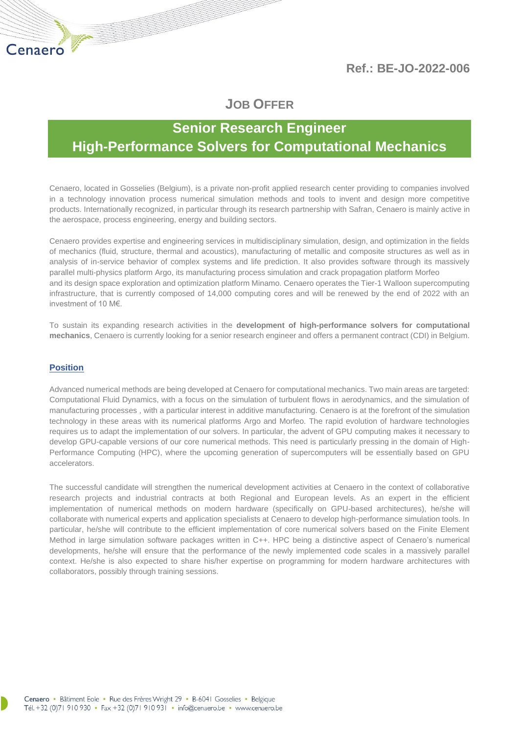**Ref.: BE-JO-2022-006**

# **JOB OFFER**

# **Senior Research Engineer High-Performance Solvers for Computational Mechanics**

Cenaero, located in Gosselies (Belgium), is a private non-profit applied research center providing to companies involved in a technology innovation process numerical simulation methods and tools to invent and design more competitive products. Internationally recognized, in particular through its research partnership with Safran, Cenaero is mainly active in the aerospace, process engineering, energy and building sectors.

Cenaero provides expertise and engineering services in multidisciplinary simulation, design, and optimization in the fields of mechanics (fluid, structure, thermal and acoustics), manufacturing of metallic and composite structures as well as in analysis of in-service behavior of complex systems and life prediction. It also provides software through its massively parallel multi-physics platform Argo, its manufacturing process simulation and crack propagation platform Morfeo and its design space exploration and optimization platform Minamo. Cenaero operates the Tier-1 Walloon supercomputing infrastructure, that is currently composed of 14,000 computing cores and will be renewed by the end of 2022 with an investment of 10 M€.

To sustain its expanding research activities in the **development of high-performance solvers for computational mechanics**, Cenaero is currently looking for a senior research engineer and offers a permanent contract (CDI) in Belgium.

## **Position**

Advanced numerical methods are being developed at Cenaero for computational mechanics. Two main areas are targeted: Computational Fluid Dynamics, with a focus on the simulation of turbulent flows in aerodynamics, and the simulation of manufacturing processes , with a particular interest in additive manufacturing. Cenaero is at the forefront of the simulation technology in these areas with its numerical platforms Argo and Morfeo. The rapid evolution of hardware technologies requires us to adapt the implementation of our solvers. In particular, the advent of GPU computing makes it necessary to develop GPU-capable versions of our core numerical methods. This need is particularly pressing in the domain of High-Performance Computing (HPC), where the upcoming generation of supercomputers will be essentially based on GPU accelerators.

The successful candidate will strengthen the numerical development activities at Cenaero in the context of collaborative research projects and industrial contracts at both Regional and European levels. As an expert in the efficient implementation of numerical methods on modern hardware (specifically on GPU-based architectures), he/she will collaborate with numerical experts and application specialists at Cenaero to develop high-performance simulation tools. In particular, he/she will contribute to the efficient implementation of core numerical solvers based on the Finite Element Method in large simulation software packages written in C++. HPC being a distinctive aspect of Cenaero's numerical developments, he/she will ensure that the performance of the newly implemented code scales in a massively parallel context. He/she is also expected to share his/her expertise on programming for modern hardware architectures with collaborators, possibly through training sessions.